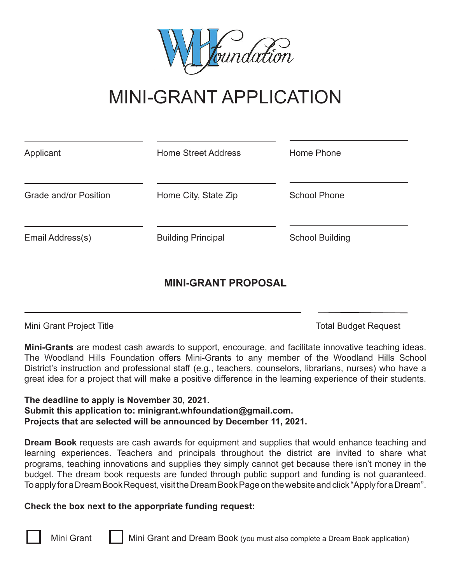

## MINI-GRANT APPLICATION

| Applicant             | <b>Home Street Address</b> | Home Phone             |  |  |
|-----------------------|----------------------------|------------------------|--|--|
| Grade and/or Position | Home City, State Zip       | <b>School Phone</b>    |  |  |
| Email Address(s)      | <b>Building Principal</b>  | <b>School Building</b> |  |  |

## **MINI-GRANT PROPOSAL**

Mini Grant Project Title The Total Budget Request

**Mini-Grants** are modest cash awards to support, encourage, and facilitate innovative teaching ideas. The Woodland Hills Foundation offers Mini-Grants to any member of the Woodland Hills School District's instruction and professional staff (e.g., teachers, counselors, librarians, nurses) who have a great idea for a project that will make a positive difference in the learning experience of their students.

**The deadline to apply is November 30, 2021. Submit this application to: minigrant.whfoundation@gmail.com. Projects that are selected will be announced by December 11, 2021.**

**Dream Book** requests are cash awards for equipment and supplies that would enhance teaching and learning experiences. Teachers and principals throughout the district are invited to share what programs, teaching innovations and supplies they simply cannot get because there isn't money in the budget. The dream book requests are funded through public support and funding is not guaranteed. To apply for a Dream Book Request, visit the Dream Book Page on the website and click "Apply for a Dream".

## **Check the box next to the apporpriate funding request:**

Mini Grant Mini Grant and Dream Book (you must also complete a Dream Book application)